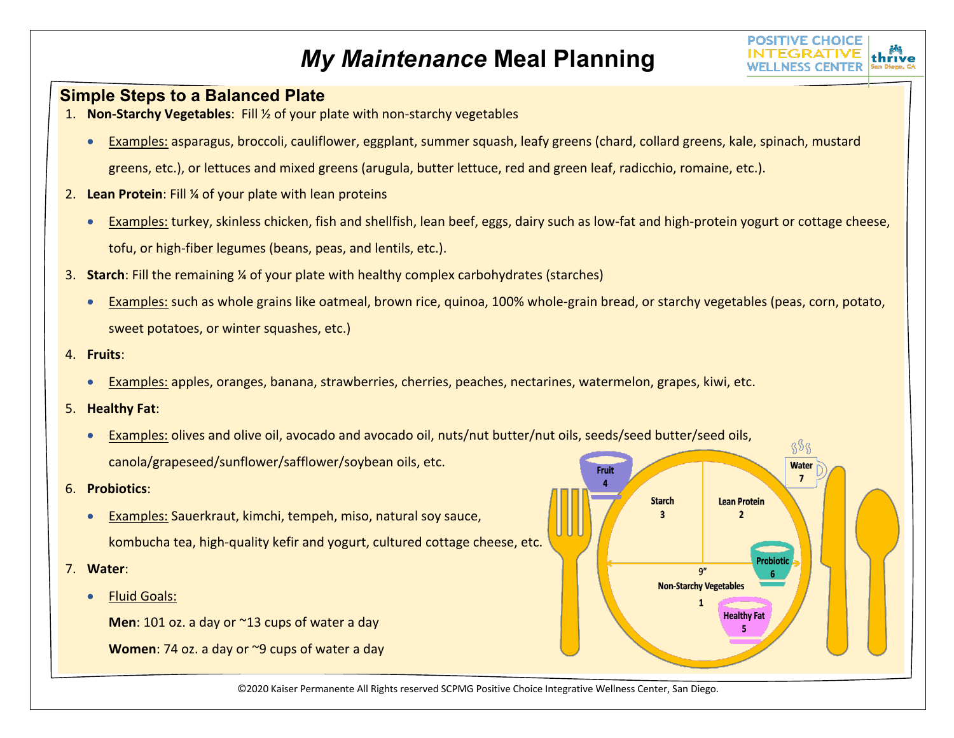## *My Maintenance* **Meal Planning**



## **Simple Steps to a Balanced Plate**

- 1. **Non-Starchy Vegetables**: Fill ½ of your plate with non-starchy vegetables
	- Examples: asparagus, broccoli, cauliflower, eggplant, summer squash, leafy greens (chard, collard greens, kale, spinach, mustard greens, etc.), or lettuces and mixed greens (arugula, butter lettuce, red and green leaf, radicchio, romaine, etc.).
- 2. **Lean Protein**: Fill ¼ of your plate with lean proteins
	- Examples: turkey, skinless chicken, fish and shellfish, lean beef, eggs, dairy such as low-fat and high-protein yogurt or cottage cheese, tofu, or high-fiber legumes (beans, peas, and lentils, etc.).
- 3. **Starch**: Fill the remaining ¼ of your plate with healthy complex carbohydrates (starches)
	- Examples: such as whole grains like oatmeal, brown rice, quinoa, 100% whole-grain bread, or starchy vegetables (peas, corn, potato, sweet potatoes, or winter squashes, etc.)
- 4. **Fruits**:
	- Examples: apples, oranges, banana, strawberries, cherries, peaches, nectarines, watermelon, grapes, kiwi, etc.
- 5. **Healthy Fat**:
	- Examples: olives and olive oil, avocado and avocado oil, nuts/nut butter/nut oils, seeds/seed butter/seed oils, canola/grapeseed/sunflower/safflower/soybean oils, etc.
- 6. **Probiotics**:
	- Examples: Sauerkraut, kimchi, tempeh, miso, natural soy sauce, kombucha tea, high-quality kefir and yogurt, cultured cottage cheese, etc.
- 7. **Water**:
	- Fluid Goals:

**Men**: 101 oz. a day or ~13 cups of water a day

**Women**: 74 oz. a day or ~9 cups of water a day



©2020 Kaiser Permanente All Rights reserved SCPMG Positive Choice Integrative Wellness Center, San Diego.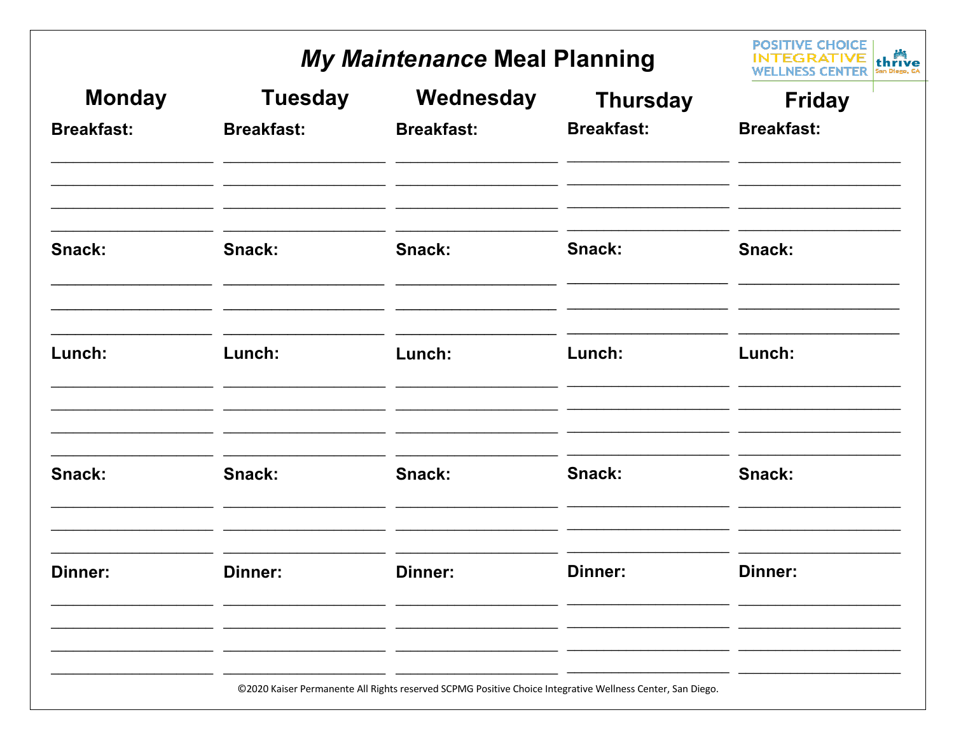## My Maintenance Meal Planning

|                   | My Maintenance Meal Planning |                                                                                                           |                   | <b>POSITIVE CHOICE</b><br>thrive |
|-------------------|------------------------------|-----------------------------------------------------------------------------------------------------------|-------------------|----------------------------------|
| <b>Monday</b>     | <b>Tuesday</b>               | Wednesday                                                                                                 | <b>Thursday</b>   | <b>Friday</b>                    |
| <b>Breakfast:</b> | <b>Breakfast:</b>            | <b>Breakfast:</b>                                                                                         | <b>Breakfast:</b> | <b>Breakfast:</b>                |
| Snack:            | Snack:                       | Snack:                                                                                                    | Snack:            | Snack:                           |
| Lunch:            | Lunch:                       | Lunch:                                                                                                    | Lunch:            | Lunch:                           |
| Snack:            | Snack:                       | Snack:                                                                                                    | Snack:            | Snack:                           |
| Dinner:           | Dinner:                      | Dinner:                                                                                                   | <b>Dinner:</b>    | <b>Dinner:</b>                   |
|                   |                              | ©2020 Kaiser Permanente All Rights reserved SCPMG Positive Choice Integrative Wellness Center, San Diego. |                   |                                  |